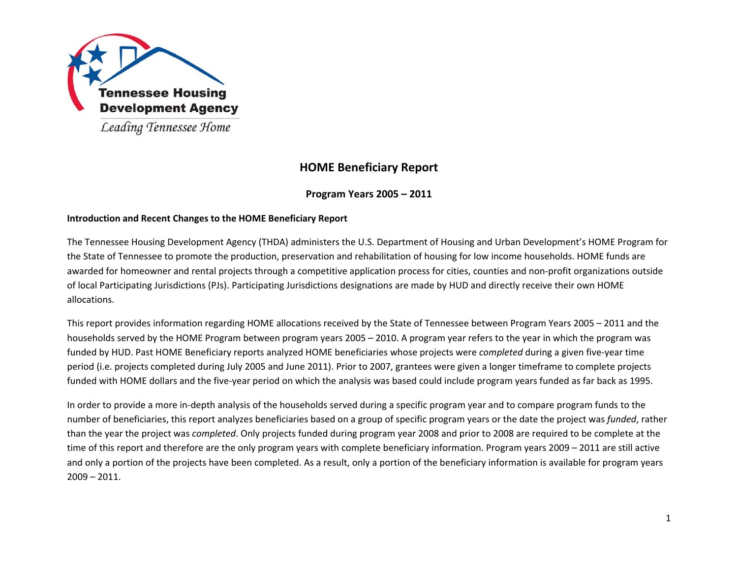

# **HOME Beneficiary Report**

# **Program Years 2005 – 2011**

# **Introduction and Recent Changes to the HOME Beneficiary Report**

The Tennessee Housing Development Agency (THDA) administers the U.S. Department of Housing and Urban Development's HOME Program for the State of Tennessee to promote the production, preservation and rehabilitation of housing for low income households. HOME funds are awarded for homeowner and rental projects through <sup>a</sup> competitive application process for cities, counties and non‐profit organizations outside of local Participating Jurisdictions (PJs). Participating Jurisdictions designations are made by HUD and directly receive their own HOME allocations.

This report provides information regarding HOME allocations received by the State of Tennessee between Program Years 2005 – 2011 and the households served by the HOME Program between program years 2005 – 2010. A program year refers to the year in which the program was funded by HUD. Past HOME Beneficiary reports analyzed HOME beneficiaries whose projects were *completed* during <sup>a</sup> given five‐year time period (i.e. projects completed during July 2005 and June 2011). Prior to 2007, grantees were given <sup>a</sup> longer timeframe to complete projects funded with HOME dollars and the five‐year period on which the analysis was based could include program years funded as far back as 1995.

In order to provide <sup>a</sup> more in‐depth analysis of the households served during <sup>a</sup> specific program year and to compare program funds to the number of beneficiaries, this report analyzes beneficiaries based on <sup>a</sup> group of specific program years or the date the project was *funded*, rather than the year the project was *completed*. Only projects funded during program year 2008 and prior to 2008 are required to be complete at the time of this report and therefore are the only program years with complete beneficiary information. Program years 2009 – 2011 are still active and only <sup>a</sup> portion of the projects have been completed. As <sup>a</sup> result, only <sup>a</sup> portion of the beneficiary information is available for program years 2009 – 2011.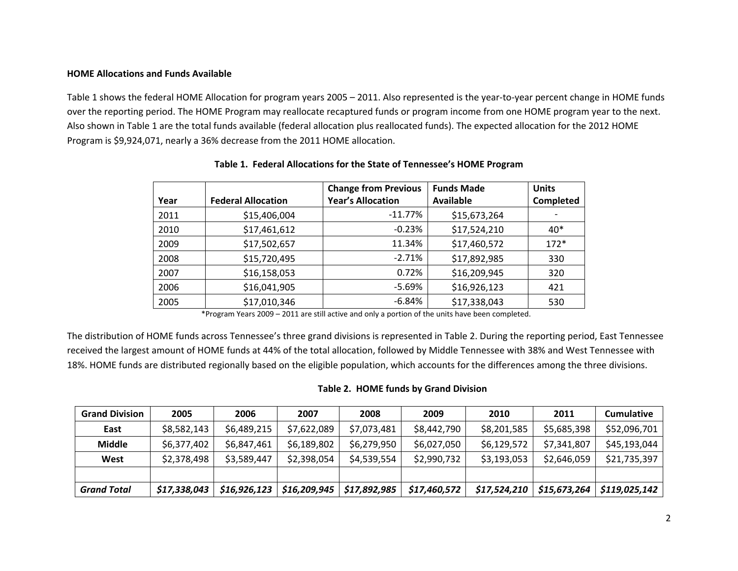#### **HOME Allocations and Funds Available**

Table 1 shows the federal HOME Allocation for program years 2005 – 2011. Also represented is the year-to-year percent change in HOME funds over the reporting period. The HOME Program may reallocate recaptured funds or program income from one HOME program year to the next. Also shown in Table 1 are the total funds available (federal allocation plus reallocated funds). The expected allocation for the 2012 HOME Program is \$9,924,071, nearly <sup>a</sup> 36% decrease from the 2011 HOME allocation.

|      |                           | <b>Change from Previous</b> | <b>Funds Made</b> | <b>Units</b> |
|------|---------------------------|-----------------------------|-------------------|--------------|
| Year | <b>Federal Allocation</b> | <b>Year's Allocation</b>    | <b>Available</b>  | Completed    |
| 2011 | \$15,406,004              | $-11.77\%$                  | \$15,673,264      |              |
| 2010 | \$17,461,612              | $-0.23%$                    | \$17,524,210      | 40*          |
| 2009 | \$17,502,657              | 11.34%                      | \$17,460,572      | $172*$       |
| 2008 | \$15,720,495              | $-2.71%$                    | \$17,892,985      | 330          |
| 2007 | \$16,158,053              | 0.72%                       | \$16,209,945      | 320          |
| 2006 | \$16,041,905              | $-5.69%$                    | \$16,926,123      | 421          |
| 2005 | \$17,010,346              | $-6.84%$                    | \$17,338,043      | 530          |

## **Table 1. Federal Allocations for the State of Tennessee's HOME Program**

\*Program Years 2009 – 2011 are still active and only <sup>a</sup> portion of the units have been completed.

The distribution of HOME funds across Tennessee's three grand divisions is represented in Table 2. During the reporting period, East Tennessee received the largest amount of HOME funds at 44% of the total allocation, followed by Middle Tennessee with 38% and West Tennessee with 18%. HOME funds are distributed regionally based on the eligible population, which accounts for the differences among the three divisions.

#### **Table 2. HOME funds by Grand Division**

| <b>Grand Division</b> | 2005         | 2006         | 2007         | 2008         | 2009         | 2010         | 2011         | <b>Cumulative</b> |
|-----------------------|--------------|--------------|--------------|--------------|--------------|--------------|--------------|-------------------|
| East                  | \$8,582,143  | \$6,489,215  | \$7,622,089  | \$7,073,481  | \$8,442,790  | \$8,201,585  | \$5,685,398  | \$52,096,701      |
| <b>Middle</b>         | \$6,377,402  | \$6,847,461  | \$6,189,802  | \$6,279,950  | \$6,027,050  | \$6,129,572  | \$7,341,807  | \$45,193,044      |
| West                  | \$2,378,498  | \$3,589,447  | \$2,398,054  | \$4,539,554  | \$2,990,732  | \$3,193,053  | \$2,646,059  | \$21,735,397      |
|                       |              |              |              |              |              |              |              |                   |
| <b>Grand Total</b>    | \$17,338,043 | \$16,926,123 | \$16,209,945 | \$17,892,985 | \$17,460,572 | \$17,524,210 | \$15,673,264 | \$119,025,142     |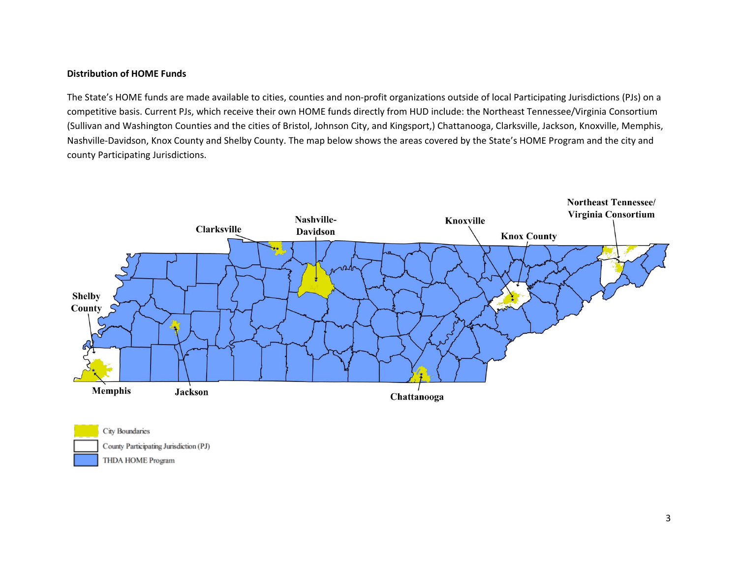#### **Distribution of HOME Funds**

The State's HOME funds are made available to cities, counties and non‐profit organizations outside of local Participating Jurisdictions (PJs) on <sup>a</sup> competitive basis. Current PJs, which receive their own HOME funds directly from HUD include: the Northeast Tennessee/Virginia Consortium (Sullivan and Washington Counties and the cities of Bristol, Johnson City, and Kingsport,) Chattanooga, Clarksville, Jackson, Knoxville, Memphis, Nashville‐Davidson, Knox County and Shelby County. The map below shows the areas covered by the State's HOME Program and the city and county Participating Jurisdictions.



City Boundaries County Participating Jurisdiction (PJ) THDA HOME Program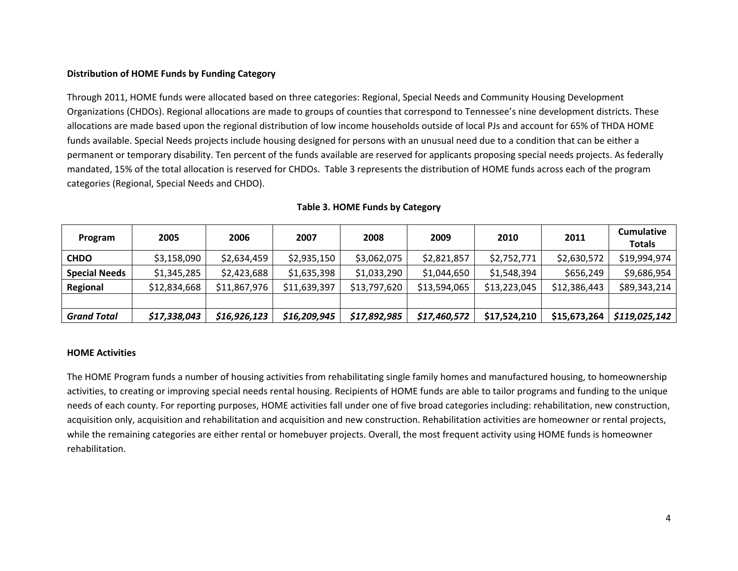# **Distribution of HOME Funds by Funding Category**

Through 2011, HOME funds were allocated based on three categories: Regional, Special Needs and Community Housing Development Organizations (CHDOs). Regional allocations are made to groups of counties that correspond to Tennessee's nine development districts. These allocations are made based upon the regional distribution of low income households outside of local PJs and account for 65% of THDA HOME funds available. Special Needs projects include housing designed for persons with an unusual need due to <sup>a</sup> condition that can be either <sup>a</sup> permanent or temporary disability. Ten percent of the funds available are reserved for applicants proposing special needs projects. As federally mandated, 15% of the total allocation is reserved for CHDOs. Table 3 represents the distribution of HOME funds across each of the program categories (Regional, Special Needs and CHDO).

| Program              | 2005         | 2006         | 2007         | 2008         | 2009         | 2010         | 2011         | <b>Cumulative</b> |
|----------------------|--------------|--------------|--------------|--------------|--------------|--------------|--------------|-------------------|
|                      |              |              |              |              |              |              |              | <b>Totals</b>     |
| <b>CHDO</b>          | \$3,158,090  | \$2,634,459  | \$2,935,150  | \$3,062,075  | \$2,821,857  | \$2,752,771  | \$2,630,572  | \$19,994,974      |
| <b>Special Needs</b> | \$1,345,285  | \$2,423,688  | \$1,635,398  | \$1,033,290  | \$1,044,650  | \$1,548,394  | \$656,249    | \$9,686,954       |
| Regional             | \$12,834,668 | \$11,867,976 | \$11,639,397 | \$13,797,620 | \$13,594,065 | \$13,223,045 | \$12,386,443 | \$89,343,214      |
|                      |              |              |              |              |              |              |              |                   |
| <b>Grand Total</b>   | \$17,338,043 | \$16,926,123 | \$16,209,945 | \$17,892,985 | \$17,460,572 | \$17,524,210 | \$15,673,264 | \$119,025,142     |

# **Table 3. HOME Funds by Category**

#### **HOME Activities**

The HOME Program funds <sup>a</sup> number of housing activities from rehabilitating single family homes and manufactured housing, to homeownership activities, to creating or improving special needs rental housing. Recipients of HOME funds are able to tailor programs and funding to the unique needs of each county. For reporting purposes, HOME activities fall under one of five broad categories including: rehabilitation, new construction, acquisition only, acquisition and rehabilitation and acquisition and new construction. Rehabilitation activities are homeowner or rental projects, while the remaining categories are either rental or homebuyer projects. Overall, the most frequent activity using HOME funds is homeowner rehabilitation.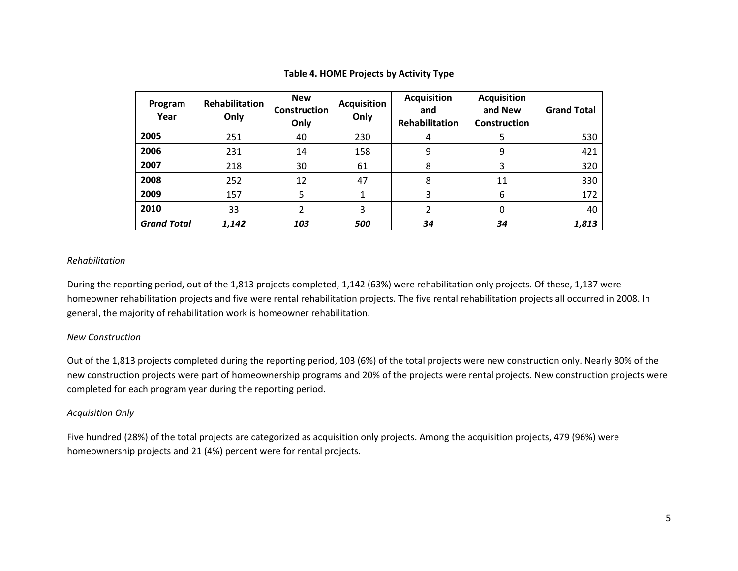| Program<br>Year    | <b>Rehabilitation</b><br>Only | <b>New</b><br>Construction<br>Only | <b>Acquisition</b><br>Only | <b>Acquisition</b><br>and<br>Rehabilitation | <b>Acquisition</b><br>and New<br><b>Construction</b> | <b>Grand Total</b> |
|--------------------|-------------------------------|------------------------------------|----------------------------|---------------------------------------------|------------------------------------------------------|--------------------|
| 2005               | 251                           | 40                                 | 230                        | 4                                           | 5                                                    | 530                |
| 2006               | 231                           | 14                                 | 158                        | 9                                           | 9                                                    | 421                |
| 2007               | 218                           | 30                                 | 61                         | 8                                           | 3                                                    | 320                |
| 2008               | 252                           | 12                                 | 47                         | 8                                           | 11                                                   | 330                |
| 2009               | 157                           | 5                                  |                            | 3                                           | 6                                                    | 172                |
| 2010               | 33                            | 2                                  | 3                          |                                             | 0                                                    | 40                 |
| <b>Grand Total</b> | 1,142                         | 103                                | 500                        | 34                                          | 34                                                   | 1,813              |

# **Table 4. HOME Projects by Activity Type**

# *Rehabilitation*

During the reporting period, out of the 1,813 projects completed, 1,142 (63%) were rehabilitation only projects. Of these, 1,137 were homeowner rehabilitation projects and five were rental rehabilitation projects. The five rental rehabilitation projects all occurred in 2008. In general, the majority of rehabilitation work is homeowner rehabilitation.

# *New Construction*

Out of the 1,813 projects completed during the reporting period, 103 (6%) of the total projects were new construction only. Nearly 80% of the new construction projects were part of homeownership programs and 20% of the projects were rental projects. New construction projects were completed for each program year during the reporting period.

# *Acquisition Only*

Five hundred (28%) of the total projects are categorized as acquisition only projects. Among the acquisition projects, 479 (96%) were homeownership projects and 21 (4%) percent were for rental projects.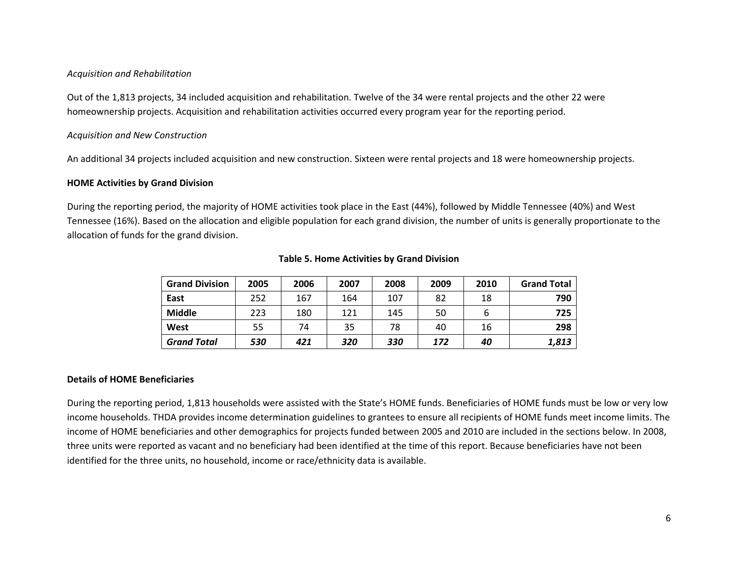# *Acquisition and Rehabilitation*

Out of the 1,813 projects, 34 included acquisition and rehabilitation. Twelve of the 34 were rental projects and the other 22 were homeownership projects. Acquisition and rehabilitation activities occurred every program year for the reporting period.

# *Acquisition and New Construction*

An additional 34 projects included acquisition and new construction. Sixteen were rental projects and 18 were homeownership projects.

#### **HOME Activities by Grand Division**

During the reporting period, the majority of HOME activities took place in the East (44%), followed by Middle Tennessee (40%) and West Tennessee (16%). Based on the allocation and eligible population for each grand division, the number of units is generally proportionate to the allocation of funds for the grand division.

| <b>Grand Division</b> | 2005 | 2006 | 2007 | 2008 | 2009 | 2010 | <b>Grand Total</b> |
|-----------------------|------|------|------|------|------|------|--------------------|
| East                  | 252  | 167  | 164  | 107  | 82   | 18   | 790                |
| <b>Middle</b>         | 223  | 180  | 121  | 145  | 50   |      | 725                |
| West                  | 55   | 74   | 35   | 78   | 40   | 16   | 298                |
| <b>Grand Total</b>    | 530  | 421  | 320  | 330  | 172  | 40   | 1,813              |

## **Table 5. Home Activities by Grand Division**

#### **Details of HOME Beneficiaries**

During the reporting period, 1,813 households were assisted with the State's HOME funds. Beneficiaries of HOME funds must be low or very low income households. THDA provides income determination guidelines to grantees to ensure all recipients of HOME funds meet income limits. The income of HOME beneficiaries and other demographics for projects funded between 2005 and 2010 are included in the sections below. In 2008, three units were reported as vacant and no beneficiary had been identified at the time of this report. Because beneficiaries have not been identified for the three units, no household, income or race/ethnicity data is available.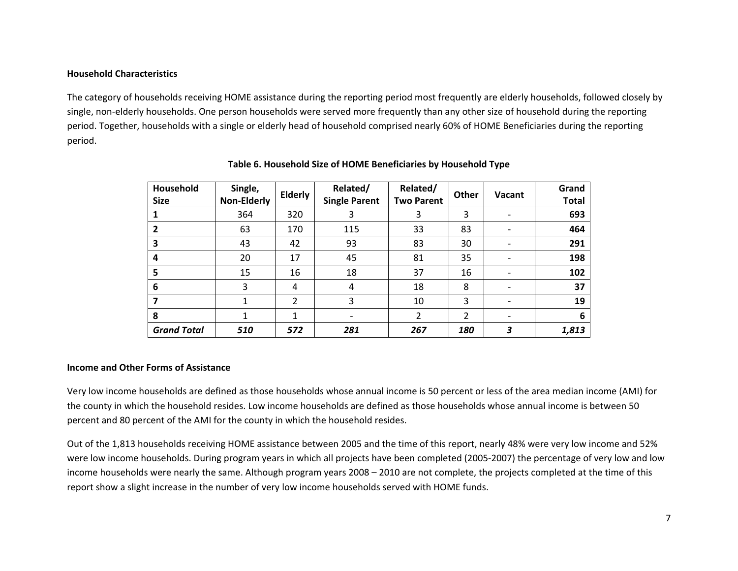# **Household Characteristics**

The category of households receiving HOME assistance during the reporting period most frequently are elderly households, followed closely by single, non-elderly households. One person households were served more frequently than any other size of household during the reporting period. Together, households with <sup>a</sup> single or elderly head of household comprised nearly 60% of HOME Beneficiaries during the reporting period.

| Household<br><b>Size</b> | Single,<br><b>Non-Elderly</b> | Elderly        | Related/<br><b>Single Parent</b> | Related/<br><b>Two Parent</b> | <b>Other</b> | Vacant | Grand<br><b>Total</b> |
|--------------------------|-------------------------------|----------------|----------------------------------|-------------------------------|--------------|--------|-----------------------|
|                          | 364                           | 320            | 3                                | 3                             | 3            |        | 693                   |
| 2                        | 63                            | 170            | 115                              | 33                            | 83           |        | 464                   |
| 3                        | 43                            | 42             | 93                               | 83                            | 30           |        | 291                   |
| 4                        | 20                            | 17             | 45                               | 81                            | 35           |        | 198                   |
| 5                        | 15                            | 16             | 18                               | 37                            | 16           |        | 102                   |
| 6                        | 3                             | 4              | 4                                | 18                            | 8            |        | 37                    |
|                          | 1                             | $\overline{2}$ | 3                                | 10                            | 3            |        | 19                    |
| 8                        | 1                             |                |                                  | 2                             | 2            |        | 6                     |
| <b>Grand Total</b>       | 510                           | 572            | 281                              | 267                           | 180          | 3      | 1,813                 |

## **Table 6. Household Size of HOME Beneficiaries by Household Type**

#### **Income and Other Forms of Assistance**

Very low income households are defined as those households whose annual income is 50 percent or less of the area median income (AMI) for the county in which the household resides. Low income households are defined as those households whose annual income is between 50 percent and 80 percent of the AMI for the county in which the household resides.

Out of the 1,813 households receiving HOME assistance between 2005 and the time of this report, nearly 48% were very low income and 52% were low income households. During program years in which all projects have been completed (2005‐2007) the percentage of very low and low income households were nearly the same. Although program years 2008 – 2010 are not complete, the projects completed at the time of this report show <sup>a</sup> slight increase in the number of very low income households served with HOME funds.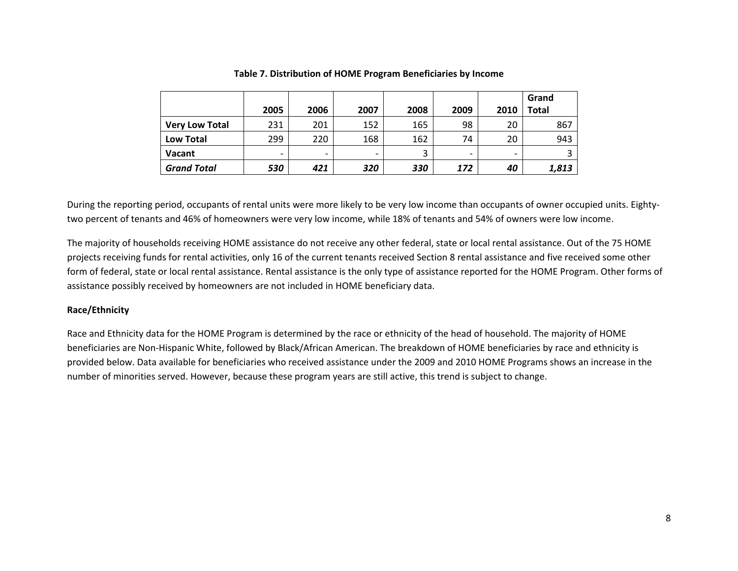|                       |      |      |      |      |                          |                          | Grand |
|-----------------------|------|------|------|------|--------------------------|--------------------------|-------|
|                       | 2005 | 2006 | 2007 | 2008 | 2009                     | 2010                     | Total |
| <b>Very Low Total</b> | 231  | 201  | 152  | 165  | 98                       | 20                       | 867   |
| <b>Low Total</b>      | 299  | 220  | 168  | 162  | 74                       | 20                       | 943   |
| <b>Vacant</b>         | -    | -    | -    | 3    | $\overline{\phantom{0}}$ | $\overline{\phantom{0}}$ |       |
| <b>Grand Total</b>    | 530  | 421  | 320  | 330  | 172                      | 40                       | 1,813 |

#### **Table 7. Distribution of HOME Program Beneficiaries by Income**

During the reporting period, occupants of rental units were more likely to be very low income than occupants of owner occupied units. Eightytwo percent of tenants and 46% of homeowners were very low income, while 18% of tenants and 54% of owners were low income.

The majority of households receiving HOME assistance do not receive any other federal, state or local rental assistance. Out of the 75 HOME projects receiving funds for rental activities, only 16 of the current tenants received Section 8 rental assistance and five received some other form of federal, state or local rental assistance. Rental assistance is the only type of assistance reported for the HOME Program. Other forms of assistance possibly received by homeowners are not included in HOME beneficiary data.

# **Race/Ethnicity**

Race and Ethnicity data for the HOME Program is determined by the race or ethnicity of the head of household. The majority of HOME beneficiaries are Non‐Hispanic White, followed by Black/African American. The breakdown of HOME beneficiaries by race and ethnicity is provided below. Data available for beneficiaries who received assistance under the 2009 and 2010 HOME Programs shows an increase in the number of minorities served. However, because these program years are still active, this trend is subject to change.